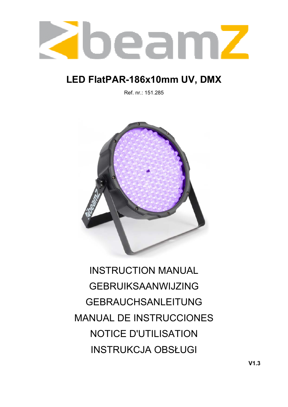

# **LED FlatPAR-186x10mm UV, DMX**

Ref. nr.: 151.285



INSTRUCTION MANUAL GEBRUIKSAANWIJZING GEBRAUCHSANLEITUNG MANUAL DE INSTRUCCIONES NOTICE D'UTILISATION INSTRUKCJA OBSŁUGI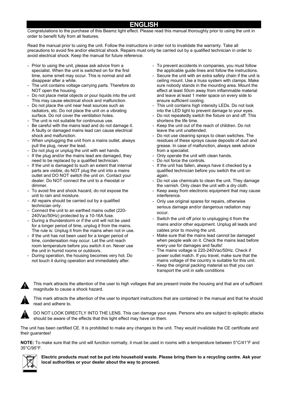## **ENGLISH**

Congratulations to the purchase of this Beamz light effect. Please read this manual thoroughly prior to using the unit in order to benefit fully from all features.

Read the manual prior to using the unit. Follow the instructions in order not to invalidate the warranty. Take all precautions to avoid fire and/or electrical shock. Repairs must only be carried out by a qualified technician in order to avoid electrical shock. Keep the manual for future reference.

- Prior to using the unit, please ask advice from a specialist. When the unit is switched on for the first time, some smell may occur. This is normal and will disappear after a while.
- The unit contains voltage carrying parts. Therefore do NOT open the housing.
- Do not place metal objects or pour liquids into the unit This may cause electrical shock and malfunction.
- Do not place the unit near heat sources such as radiators, etc. Do not place the unit on a vibrating surface. Do not cover the ventilation holes.
- The unit is not suitable for continuous use.
- Be careful with the mains lead and do not damage it. A faulty or damaged mains lead can cause electrical shock and malfunction.
- When unplugging the unit from a mains outlet, always pull the plug, never the lead.
- Do not plug or unplug the unit with wet hands.
- If the plug and/or the mains lead are damaged, they need to be replaced by a qualified technician.
- If the unit is damaged to such an extent that internal parts are visible, do NOT plug the unit into a mains outlet and DO NOT switch the unit on. Contact your dealer. Do NOT connect the unit to a rheostat or dimmer.
- To avoid fire and shock hazard, do not expose the unit to rain and moisture.
- All repairs should be carried out by a qualified technician only.
- Connect the unit to an earthed mains outlet (220- 240Vac/50Hz) protected by a 10-16A fuse.
- During a thunderstorm or if the unit will not be used for a longer period of time, unplug it from the mains. The rule is: Unplug it from the mains when not in use.
- If the unit has not been used for a longer period of time, condensation may occur. Let the unit reach room temperature before you switch it on. Never use the unit in humid rooms or outdoors.
- During operation, the housing becomes very hot. Do not touch it during operation and immediately after.
- To prevent accidents in companies, you must follow the applicable guide lines and follow the instructions.
- Secure the unit with an extra safety chain if the unit is ceiling mount. Use a truss system with clamps. Make sure nobody stands in the mounting area. Mount the effect at least 50cm away from inflammable material and leave at least 1 meter space on every side to ensure sufficient cooling.
- This unit contains high intensity LEDs. Do not look into the LED light to prevent damage to your eyes.
- Do not repeatedly switch the fixture on and off. This shortens the life time.
- Keep the unit out of the reach of children. Do not leave the unit unattended.
- Do not use cleaning sprays to clean switches. The residues of these sprays cause deposits of dust and grease. In case of malfunction, always seek advice from a specialist.
- Only operate the unit with clean hands.
- Do not force the controls.
- If the unit has fallen, always have it checked by a qualified technician before you switch the unit on again.
- Do not use chemicals to clean the unit. They damage the varnish. Only clean the unit with a dry cloth.
- Keep away from electronic equipment that may cause interference.
- Only use original spares for repairs, otherwise serious damage and/or dangerous radiation may occur.
- Switch the unit off prior to unplugging it from the mains and/or other equipment. Unplug all leads and cables prior to moving the unit.
- Make sure that the mains lead cannot be damaged when people walk on it. Check the mains lead before every use for damages and faults!
- The mains voltage is 220-240Vac/50Hz. Check if power outlet match. If you travel, make sure that the mains voltage of the country is suitable for this unit.
- Keep the original packing material so that you can transport the unit in safe conditions



This mark attracts the attention of the user to high voltages that are present inside the housing and that are of sufficient magnitude to cause a shock hazard.



This mark attracts the attention of the user to important instructions that are contained in the manual and that he should read and adhere to.



DO NOT LOOK DIRECTLY INTO THE LENS. This can damage your eyes. Persons who are subject to epileptic attacks should be aware of the effects that this light effect may have on them.

The unit has been certified CE. It is prohibited to make any changes to the unit. They would invalidate the CE certificate and their guarantee!

**NOTE:** To make sure that the unit will function normally, it must be used in rooms with a temperature between 5°C/41°F and 35°C/95°F.



**Electric products must not be put into household waste. Please bring them to a recycling centre. Ask your local authorities or your dealer about the way to proceed.**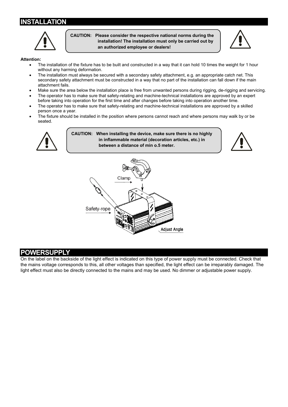## **INSTALLATION**



**CAUTION: Please consider the respective national norms during the installation! The installation must only be carried out by an authorized employee or dealers!** 



#### **Attention:**

- The installation of the fixture has to be built and constructed in a way that it can hold 10 times the weight for 1 hour without any harming deformation.
- The installation must always be secured with a secondary safety attachment, e.g. an appropriate catch net. This secondary safety attachment must be constructed in a way that no part of the installation can fall down if the main attachment fails.
- Make sure the area below the installation place is free from unwanted persons during rigging, de-rigging and servicing.
- The operator has to make sure that safety-relating and machine-technical installations are approved by an expert before taking into operation for the first time and after changes before taking into operation another time.
- The operator has to make sure that safety-relating and machine-technical installations are approved by a skilled person once a year.
- The fixture should be installed in the position where persons cannot reach and where persons may walk by or be seated.



**CAUTION: When installing the device, make sure there is no highly in inflammable material (decoration articles, etc.) in between a distance of min o.5 meter.** 





#### **POWERSUPPLY**

On the label on the backside of the light effect is indicated on this type of power supply must be connected. Check that the mains voltage corresponds to this, all other voltages than specified, the light effect can be irreparably damaged. The light effect must also be directly connected to the mains and may be used. No dimmer or adjustable power supply.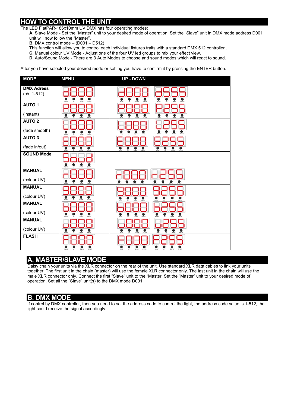## **HOW TO CONTROL THE UNIT**

The LED FlatPAR-186x10mm UV DMX has four operating modes:

- **A.** Slave Mode Set the "Master" unit to your desired mode of operation. Set the "Slave" unit in DMX mode address D001 unit will now follow the "Master".
- **B.** DMX control mode (D001 D512)
- This function will allow you to control each individual fixtures traits with a standard DMX 512 controller .
- **C.** Manual colour UV Mode Adjust one of the four UV led groups to mix your effect view.
- **D.** Auto/Sound Mode There are 3 Auto Modes to choose and sound modes which will react to sound.

After you have selected your desired mode or setting you have to confirm it by pressing the ENTER button.



## **A. MASTER/SLAVE MODE**

Daisy chain your units via the XLR connector on the rear of the unit. Use standard XLR data cables to link your units together. The first unit in the chain (master) will use the female XLR connector only. The last unit in the chain will use the male XLR connector only. Connect the first "Slave" unit to the "Master. Set the "Master" unit to your desired mode of operation. Set all the "Slave" unit(s) to the DMX mode D001.

## **B. DMX MODE**

If control by DMX controller, then you need to set the address code to control the light, the address code value is 1-512, the light could receive the signal accordingly.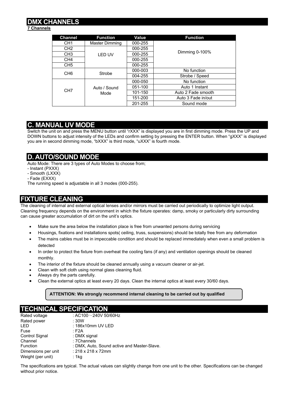## **DMX CHANNELS**

#### **7 Channels**

| <b>Channel</b>  | <b>Function</b>      | Value   | <b>Function</b>    |
|-----------------|----------------------|---------|--------------------|
| CH <sub>1</sub> | Master Dimming       | 000-255 |                    |
| CH <sub>2</sub> |                      | 000-255 |                    |
| CH <sub>3</sub> | <b>LED UV</b>        | 000-255 | Dimming 0-100%     |
| CH <sub>4</sub> |                      | 000-255 |                    |
| CH <sub>5</sub> |                      | 000-255 |                    |
| CH <sub>6</sub> | Strobe               | 000-003 | No function        |
|                 |                      | 004-255 | Strobe / Speed     |
| CH <sub>7</sub> | Auto / Sound<br>Mode | 000-050 | No function        |
|                 |                      | 051-100 | Auto 1 Instant     |
|                 |                      | 101-150 | Auto 2 Fade smooth |
|                 |                      | 151-200 | Auto 3 Fade in/out |
|                 |                      | 201-255 | Sound mode         |

## **C. MANUAL UV MODE**

Switch the unit on and press the MENU button until "rXXX" is displayed you are in first dimming mode. Press the UP and DOWN buttons to adjust intensity of the LEDs and confirm setting by pressing the ENTER button. When "gXXX" is displayed you are in second dimming mode, "bXXX" is third mode, "uXXX" is fourth mode.

## **D. AUTO/SOUND MODE**

Auto Mode: There are 3 types of Auto Modes to choose from;

- Instant (PXXX)
- Smooth (LXXX)
- Fade (EXXX)

The running speed is adjustable in all 3 modes (000-255).

## **FIXTURE CLEANING**

The cleaning of internal and external optical lenses and/or mirrors must be carried out periodically to optimize light output. Cleaning frequency depends on the environment in which the fixture operates: damp, smoky or particularly dirty surrounding can cause greater accumulation of dirt on the unit's optics.

- Make sure the area below the installation place is free from unwanted persons during servicing
- Housings, fixations and installations spots( ceiling, truss, suspensions) should be totally free from any deformation
- The mains cables must be in impeccable condition and should be replaced immediately when even a small problem is detected
- In order to protect the fixture from overheat the cooling fans (if any) and ventilation openings should be cleaned monthly.
- The interior of the fixture should be cleaned annually using a vacuum cleaner or air-jet.
- Clean with soft cloth using normal glass cleaning fluid.
- Always dry the parts carefully.
- Clean the external optics at least every 20 days. Clean the internal optics at least every 30/60 days.

#### **ATTENTION: We strongly recommend internal cleaning to be carried out by qualified**

## **TECHNICAL SPECIFICATION**

| Rated voltage       | : AC100 $\sim$ 240V 50/60Hz                 |
|---------------------|---------------------------------------------|
| Rated power         | :30W                                        |
| <b>LED</b>          | : 186x10mm UV LED                           |
| Fuse                | : F2A                                       |
| Control Signal      | : DMX signal                                |
| Channel             | : 7Channels                                 |
| Function            | : DMX, Auto, Sound active and Master-Slave. |
| Dimensions per unit | : 218 x 218 x 72mm                          |
| Weight (per unit)   | : 1 $kg$                                    |

The specifications are typical. The actual values can slightly change from one unit to the other. Specifications can be changed without prior notice.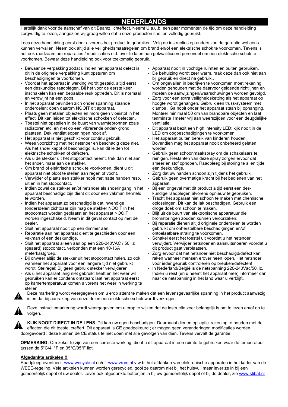## **NEDERLANDS**

Hartelijk dank voor de aanschaf van dit Beamz lichteffect. Neemt U a.u.b. een paar momenten de tijd om deze handleiding zorgvuldig te lezen, aangezien wij graag willen dat u onze producten snel en volledig gebruikt.

Lees deze handleiding eerst door alvorens het product te gebruiken. Volg de instructies op anders zou de garantie wel eens kunnen vervallen. Neem ook altijd alle veiligheidsmaatregelen om brand en/of een elektrische schok te voorkomen. Tevens is het ook raadzaam om reparaties / modificaties e.d. over te laten aan gekwalificeerd personeel om een elektrische schok te voorkomen. Bewaar deze handleiding ook voor toekomstig gebruik.

- Bewaar de verpakking zodat u indien het apparaat defect is, dit in de originele verpakking kunt opsturen om beschadigingen te voorkomen.
- Voordat het apparaat in werking wordt gesteld, altijd eerst een deskundige raadplegen. Bij het voor de eerste keer inschakelen kan een bepaalde reuk optreden. Dit is normaal en verdwijnt na een poos.
- In het apparaat bevinden zich onder spanning staande onderdelen; open daarom NOOIT dit apparaat.
- Plaats geen metalen objecten en mors geen vloeistof in het effect. Dit kan leiden tot elektrische schokken of defecten.
- Toestel niet opstellen in de buurt van warmtebronnen zoals radiatoren etc. en niet op een vibrerende onder- grond plaatsen. Dek ventilatieopeningen nooit af.
- Het apparaat is niet geschikt voor continu gebruik.
- Wees voorzichtig met het netsnoer en beschadig deze niet. Als het snoer kapot of beschadigd is, kan dit leiden tot elektrische schokken of defecten.
- Als u de stekker uit het stopcontact neemt, trek dan niet aan het snoer, maar aan de stekker.
- Om brand of elektrische schok te voorkomen, dient u dit apparaat niet bloot te stellen aan regen of vocht.
- Verwijder of plaats een stekker nooit met natte handen resp. uit en in het stopcontact.
- Indien zowel de stekker en/of netsnoer als snoeringang in het apparaat beschadigd zijn dient dit door een vakman hersteld te worden.
- Indien het apparaat zo beschadigd is dat inwendige (onder)delen zichtbaar zijn mag de stekker NOOIT in het stopcontact worden geplaatst en het apparaat NOOIT worden ingeschakeld. Neem in dit geval contact op met de dealer.
- Sluit het apparaat nooit op een dimmer aan.
- Reparatie aan het apparaat dient te geschieden door een vakman of een deskundige.
- Sluit het apparaat alleen aan op een 220-240VAC / 50Hz (geaard) stopcontact, verbonden met een 10-16A meterkastgroep.
- Bij onweer altijd de stekker uit het stopcontact halen, zo ook wanneer het apparaat voor een langere tijd niet gebruikt wordt. Stelregel: Bij geen gebruik stekker verwijderen.
- Als u het apparaat lang niet gebruikt heeft en het weer wil gebruiken kan er condens ontstaan; laat het apparaat eerst op kamertemperatuur komen alvorens het weer in werking te stellen.
- Apparaat nooit in vochtige ruimten en buiten gebruiken.
- De behuizing wordt zeer warm, raak deze dan ook niet aan bij gebruik en direct na gebruik..
- Om ongevallen in bedrijven te voorkomen moet rekening worden gehouden met de daarvoor geldende richtlijnen en moeten de aanwijzingen/waarschuwingen worden gevolgd.
- Zorg voor een extra veiligheidsketting als het apparaat op hoogte wordt gehangen. Gebruik een truss-systeem met clamps . Ga nooit onder het apparaat staan bij ophanging. Monteer minimaal 50 cm van brandbare objecten en laat tenminste 1meter vrij aan weerszijden voor een deugdelijke ventilatie.
- Dit apparaat bezit een high intensity LED; kijk nooit in de LED om oogbeschadigingen te voorkomen.
- Het apparaat buiten bereik van kinderen houden. Bovendien mag het apparaat nooit onbeheerd gelaten worden
- Gebruik geen schoonmaakspray om de schakelaars te reinigen. Restanten van deze spray zorgen ervoor dat smeer en stof ophopen. Raadpleeg bij storing te allen tijde een deskundige.
- Zorg dat uw handen schoon zijn tijdens het gebruik.
- Gebruik geen overmatige kracht bij het bedienen van het apparaat.
- Bij een ongeval met dit product altijd eerst een deskundige raadplegen alvorens opnieuw te gebruiken.
- Tracht het apparaat niet schoon te maken met chemische oplossingen. Dit kan de lak beschadigen. Gebruik een droge doek om schoon te maken.
- Blijf uit de buurt van elektronische apparatuur die bromstoringen zouden kunnen veroorzaken.
- Bij reparatie dienen altijd originele onderdelen te worden gebruikt om onherstelbare beschadigingen en/of ontoelaatbare straling te voorkomen.
- Schakel eerst het toestel uit voordat u het netsnoer verwijdert. Verwijder netsnoer en aansluitsnoeren voordat u dit product gaat verplaatsen.
- Zorg ervoor dat het netsnoer niet beschadigd/defect kan raken wanneer mensen erover heen lopen. Het netsnoer vóór ieder gebruik controleren op breuken/defecten!
- In Nederland/België is de netspanning 220-240Vac/50Hz. Indien u reist (en u neemt het apparaat mee) informeer dan naar de netspanning in het land waar u verblijft.

Deze markering wordt weergegeven om u erop attent te maken dat een levensgevaarlijke spanning in het product aanwezig is en dat bij aanraking van deze delen een elektrische schok wordt verkregen.

Deze instructiemarkering wordt weergegeven om u erop te wijzen dat de instructie zeer belangrijk is om te lezen en/of op te volgen.



**KIJK NOOIT DIRECT IN DE LENS**. Dit kan uw ogen beschadigen. Daarnaast dienen epileptici rekening te houden met de effecten die dit toestel creëert. Dit apparaat is CE goedgekeurd ; er mogen geen veranderingen modificaties worden doorgevoerd ; deze kunnen de CE status te niet doen met alle gevolgen van dien. Tevens vervalt de garantie!

**OPMERKING:** Om zeker te zijn van een correcte werking, dient u dit apparaat in een ruimte te gebruiken waar de temperatuur tussen de 5°C/41°F en 35°C/95°F ligt.

#### **Afgedankte artikelen !!**

Raadpleeg eventueel www.wecycle.nl en/of www.vrom.nl v.w.b. het afdanken van elektronische apparaten in het kader van de WEEE-regeling. Vele artikelen kunnen worden gerecycled, gooi ze daarom niet bij het huisvuil maar lever ze in bij een gemeentelijk depot of uw dealer. Lever ook afgedankte batterijen in bij uw gemeentelijk depot of bij de dealer, zie www.stibat.nl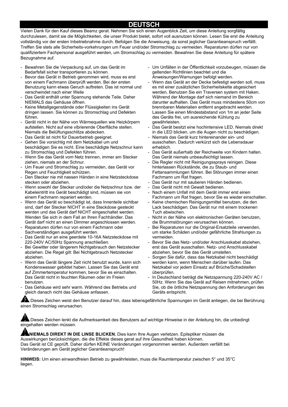## **DEUTSCH**

Vielen Dank für den Kauf dieses Beamz gerat. Nehmen Sie sich einen Augenblick Zeit, um diese Anleitung sorgfältig durchzulesen, damit sie die Möglichkeiten, die unser Produkt bietet, sofort voll ausnutzen können. Lesen Sie erst die Anleitung vollständig vor der ersten Inbetriebnahme durch. Befolgen Sie die Anweisung, da sonst jeglicher Garantieanspruch verfällt. Treffen Sie stets alle Sicherheits-vorkehrungen um Feuer und/oder Stromschlag zu vermeiden. Reparaturen dürfen nur von qualifiziertem Fachpersonal ausgeführt werden, um Stromschlag zu vermeiden. Bewahren Sie diese Anleitung für spätere Bezugnahme auf.

- Bewahren Sie die Verpackung auf, um das Gerät im Bedarfsfall sicher transportieren zu können.
- Bevor das Gerät in Betrieb genommen wird, muss es erst von einem Fachmann überprüft werden. Bei der ersten Benutzung kann etwas Geruch auftreten. Das ist normal und verschwindet nach einer Weile
- Das Gerät enthält unter Spannung stehende Teile. Daher NIEMALS das Gehäuse öffnen.
- Keine Metallgegenstände oder Flüssigkeiten ins Gerät dringen lassen. Sie können zu Stromschlag und Defekten führen.
- Gerät nicht in der Nähe von Wärmequellen wie Heizkörpern aufstellen. Nicht auf eine vibrierende Oberfläche stellen. Niemals die Belüftungsschlitze abdecken.
- Das Gerät ist nicht für Dauerbetrieb geeignet.
- Gehen Sie vorsichtig mit dem Netzkabel um und beschädigen Sie es nicht. Eine beschädigte Netzschnur kann zu Stromschlag und Defekten führen.
- Wenn Sie das Gerät vom Netz trennen, immer am Stecker ziehen, niemals an der Schnur.
- Um Feuer und Stromschlag zu vermeiden, das Gerät vor Regen und Feuchtigkeit schützen.
- Den Stecker nie mit nassen Händen in eine Netzsteckdose stecken oder abziehen.
- Wenn sowohl der Stecker und/oder die Netzschnur bzw. der Kabeleintritt ins Gerät beschädigt sind, müssen sie von einem Fachmann repariert werden.
- Wenn das Gerät so beschädigt ist, dass Innenteile sichtbar sind, darf der Stecker NICHT in eine Steckdose gesteckt werden und das Gerät darf NICHT eingeschaltet werden. Wenden Sie sich in dem Fall an Ihren Fachhändler. Das Gerät darf nicht an einen Dimmer angeschlossen werden.
- Reparaturen dürfen nur von einem Fachmann oder Sachverständigen ausgeführt werden.
- Das Gerät nur an eine geerdete 10-16A Netzsteckdose mit 220-240V AC/50Hz Spannung anschließen.
- Bei Gewitter oder längerem Nichtgebrauch den Netzstecker abziehen. Die Regel gilt: Bei Nichtgebrauch Netzstecker abziehen.
- Wenn das Gerät längere Zeit nicht benutzt wurde, kann sich Kondenswasser gebildet haben. Lassen Sie das Gerät erst auf Zimmertemperatur kommen, bevor Sie es einschalten. Das Gerät nicht in feuchten Räumen oder im Freien benutzen.
- Das Gehäuse wird sehr warm. Während des Betriebs und gleich danach nicht das Gehäuse anfassen.
- Um Unfällen in der Öffentlichkeit vorzubeugen, müssen die geltenden Richtlinien beachtet und die Anweisungen/Warnungen befolgt werden.
- Wenn das Gerät an der Decke befestigt werden soll, muss es mit einer zusätzlichen Sicherheitskette abgesichert werden. Benutzen Sie ein Traversen system mit Haken. Während der Montage darf sich niemand im Bereich darunter aufhalten. Das Gerät muss mindestens 50cm von brennbaren Materialien entfernt angebracht werden. Lassen Sie einen Mindestabstand von 1m an jeder Seite des Geräts frei, um ausreichende Kühlung zu gewährleisten.
- Das Gerät besitzt eine hochintensive LED. Niemals direkt in die LED blicken, um die Augen nicht zu beschädigen.
- Niemals das Gerät kurz hintereinander ein- und ausschalten. Dadurch verkürzt sich die Lebensdauer erheblich.
- Das Gerät außerhalb der Reichweite von Kindern halten. Das Gerät niemals unbeaufsichtigt lassen.
- Die Regler nicht mit Reinigungssprays reinigen. Diese hinterlassen Rückstände, die zu Staub- und Fettansammlungen führen. Bei Störungen immer einen Fachmann um Rat fragen.
- Das Gerät nur mit sauberen Händen bedienen.
- Das Gerät nicht mit Gewalt bedienen.
- Nach einem Unfall mit dem Gerät immer erst einen Fachmann um Rat fragen, bevor Sie es wieder einschalten.
- Keine chemischen Reinigungsmittel benutzen, die den Lack beschädigen. Das Gerät nur mit einem trockenen Tuch abwischen.
- Nicht in der Nähe von elektronischen Geräten benutzen, die Brummstörungen verursachen können.
- Bei Reparaturen nur die Original-Ersatzteile verwenden, um starke Schäden und/oder gefährliche Strahlungen zu vermeiden.
- Bevor Sie das Netz- und/oder Anschlusskabel abziehen, erst das Gerät ausschalten. Netz- und Anschlusskabel abziehen, bevor Sie das Gerät umstellen.
- Sorgen Sie dafür, dass das Netzkabel nicht beschädigt werden kann, wenn Menschen darüber laufen. Das Netzkabel vor jedem Einsatz auf Brüche/Schadstellen überprüfen.
- In Deutschland beträgt die Netzspannung 220-240V AC / 50Hz. Wenn Sie das Gerät auf Reisen mitnehmen, prüfen Sie, ob die örtliche Netzspannung den Anforderungen des Geräts entspricht.

 Dieses Zeichen weist den Benutzer darauf hin, dass lebensgefährliche Spannungen im Gerät anliegen, die bei Berührung einen Stromschlag verursachen.

⊾Dieses Zeichen lenkt die Aufmerksamkeit des Benutzers auf wichtige Hinweise in der Anleitung hin, die unbedingt eingehalten werden müssen.

**NIEMALS DIREKT IN DIE LINSE BLICKEN.** Dies kann Ihre Augen verletzen. Epileptiker müssen die Auswirkungen berücksichtigen, die die Effekte dieses gerat auf ihre Gesundheit haben können. Das Gerät ist CE geprüft. Daher dürfen KEINE Veränderungen vorgenommen werden. Außerdem verfällt bei Veränderungen am Gerät jeglicher Garantieanspruch!

**HINWEIS:** Um einen einwandfreien Betrieb zu gewährleisten, muss die Raumtemperatur zwischen 5° und 35°C liegen.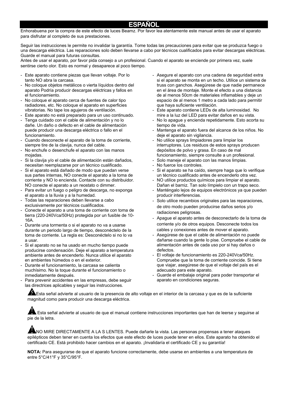#### **ESPAÑOL**

Enhorabuena por la compra de este efecto de luces Beamz. Por favor lea atentamente este manual antes de usar el aparato para disfrutar al completo de sus prestaciones.

Seguir las instrucciones le permite no invalidar la garantía. Tome todas las precauciones para evitar que se produzca fuego o una descarga eléctrica. Las reparaciones solo deben llevarse a cabo por técnicos cualificados para evitar descargas eléctricas. Guarde el manual para futuras consultas.

Antes de usar el aparato, por favor pida consejo a un profesional. Cuando el aparato se enciende por primera vez, suele sentirse cierto olor. Esto es normal y desaparece al poco tiempo.

- Este aparato contiene piezas que llevan voltaje. Por lo tanto NO abra la carcasa.
- No coloque objetos metálicos o vierta líquidos dentro del aparato Podría producir descargas eléctricas y fallos en el funcionamiento.
- No coloque el aparato cerca de fuentes de calor tipo radiadores, etc. No coloque el aparato en superficies vibratorias. No tape los agujeros de ventilación.
- Este aparato no está preparado para un uso continuado.
- Tenga cuidado con el cable de alimentación y no lo dañe. Un daño o defecto en el cable de alimentación puede producir una descarga eléctrica o fallo en el funcionamiento.
- Cuando desconecte el aparato de la toma de corriente, siempre tire de la clavija, nunca del cable.
- No enchufe o desenchufe el aparato con las manos mojadas.
- Si la clavija y/o el cable de alimentación están dañados. necesitan reemplazarse por un técnico cualificado.
- Si el aparato está dañado de modo que puedan verse sus partes internas, NO conecte el aparato a la toma de corriente y NO lo encienda. Contacte con su distribuidor. NO conecte el aparato a un reostato o dimmer.
- Para evitar un fuego o peligro de descarga, no exponga el aparato a la lluvia y a la humedad.
- Todas las reparaciones deben llevarse a cabo exclusivamente por técnicos cualificados.
- Conecte el aparato a una toma de corriente con toma de tierra (220-240Vca/50Hz) protegida por un fusible de 10- 16A.
- Durante una tormenta o si el aparato no va a usarse durante un periodo largo de tiempo, desconéctelo de la toma de corriente. La regla es: Desconéctelo si no lo va a usar.
- Si el aparato no se ha usado en mucho tiempo puede producirse condensación. Deje el aparato a temperatura ambiente antes de encenderlo. Nunca utilice el aparato en ambientes húmedos o en el exterior.
- Durante el funcionamiento, la carcasa se calienta muchísimo. No la toque durante el funcionamiento o inmediatamente después.
- Para prevenir accidentes en las empresas, debe seguir las directrices aplicables y seguir las instrucciones.
- Asegure el aparato con una cadena de seguridad extra si el aparato se monta en un techo. Utilice un sistema de truss con ganchos. Asegúrese de que nadie permanece en el área de montaje. Monte el efecto a una distancia de al menos 50cm de materiales inflamables y deje un espacio de al menos 1 metro a cada lado para permitir que haya suficiente ventilación.
- Este aparato contiene LEDs de alta luminosidad. No mire a la luz del LED para evitar daños en su vista.
- No lo apague y encienda repetidamente. Esto acorta su tiempo de vida.
- Mantenga el aparato fuera del alcance de los niños. No deje el aparato sin vigilancia.
- No utilice sprays limpiadores para limpiar los interruptores. Los residuos de estos sprays producen depósitos de polvo y grasa. En caso de mal funcionamiento, siempre consulte a un profesional.
- Solo maneje el aparato con las manos limpias.
- No fuerce los controles.
- Si el aparato se ha caído, siempre haga que lo verifique un técnico cualificado antes de encenderlo otra vez.
- NO utilice productos químicos para limpiar el aparato. Dañan el barniz. Tan solo límpielo con un trapo seco.
- Manténgalo lejos de equipos electrónicos ya que pueden producir interferencias.
- Solo utilice recambios originales para las reparaciones, de otro modo pueden producirse daños serios y/o radiaciones peligrosas.
- Apague el aparato antes de desconectarlo de la toma de corriente y/o de otros equipos. Desconecte todos los cables y conexiones antes de mover el aparato.
- Asegúrese de que el cable de alimentación no puede dañarse cuando la gente lo pise. Compruebe el cable de alimentación antes de cada uso por si hay daños o defectos.
- El voltaje de funcionamiento es 220-240Vca/50Hz. Compruebe que la toma de corriente coincide. Si tiene que viajar, asegúrese de que el voltaje del país es el adecuado para este aparato.
- Guarde el embalaje original para poder transportar el aparato en condiciones seguras.

Esta señal advierte al usuario de la presencia de alto voltaje en el interior de la carcasa y que es de la suficiente magnitud como para producir una descarga eléctrica.

 Esta señal advierte al usuario de que el manual contiene instrucciones importantes que han de leerse y seguirse al pie de la letra.

NO MIRE DIRECTAMENTE A LA S LENTES. Puede dañarle la vista. Las personas propensas a tener ataques epilépticos deben tener en cuenta los efectos que este efecto de luces puede tener en ellos. Este aparato ha obtenido el certificado CE. Está prohibido hacer cambios en el aparato. ¡Invalidaría el certificado CE y su garantía!

**NOTA:** Para asegurarse de que el aparato funcione correctamente, debe usarse en ambientes a una temperatura de entre 5°C/41°F y 35°C/95°F.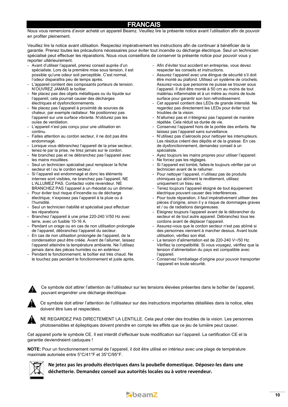## **FRANCAIS**

Nous vous remercions d'avoir acheté un appareil Beamz. Veuillez lire la présente notice avant l'utilisation afin de pouvoir en profiter pleinement.

Veuillez lire la notice avant utilisation. Respectez impérativement les instructions afin de continuer à bénéficier de la garantie. Prenez toutes les précautions nécessaires pour éviter tout incendie ou décharge électrique. Seul un technicien spécialisé peut effectuer les réparations. Nous vous conseillons de conserver la présente notice pour pouvoir vous y reporter ultérieurement.

- Avant d'utiliser l'appareil, prenez conseil auprès d'un spécialiste. Lors de la première mise sous tension, il est possible qu'une odeur soit perceptible. C'est normal, l'odeur disparaîtra peu de temps après.
- L'appareil contient des composants porteurs de tension. N'OUVREZ JAMAIS le boîtier.
- Ne placez pas des objets métalliques ou du liquide sur l'appareil, cela pourrait causer des décharges électriques et dysfonctionnements.
- Ne placez pas l'appareil à proximité de sources de chaleur, par exemple radiateur. Ne positionnez pas l'appareil sur une surface vibrante. N'obturez pas les ouïes de ventilation.
- L'appareil n'est pas conçu pour une utilisation en continu.
- Faites attention au cordon secteur, il ne doit pas être endommagé.
- Lorsque vous débranchez l'appareil de la prise secteur, tenez-le par la prise, ne tirez jamais sur le cordon.
- Ne branchez pas et ne débranchez pas l'appareil avec les mains mouillées.
- Seul un technicien spécialisé peut remplacer la fiche secteur et / ou le cordon secteur.
- Si l'appareil est endommagé et donc les éléments internes sont visibles, ne branchez pas l'appareil, NE L'ALLUMEZ PAS. Contactez votre revendeur. NE BRANCHEZ PAS l'appareil à un rhéostat ou un dimmer.
- Pour éviter tout risque d'incendie ou de décharge électrique, n'exposez pas l'appareil à la pluie ou à l'humidité.
- Seul un technicien habilité et spécialisé peut effectuer les réparations
- Branchez l'appareil à une prise 220-240 V/50 Hz avec terre, avec un fusible 10-16 A.
- Pendant un orage ou en cas de non utilisation prolongée de l'appareil, débranchez l'appareil du secteur.
- En cas de non utilisation prolongée de l'appareil, de la condensation peut être créée. Avant de l'allumer, laissez l'appareil atteindre la température ambiante. Ne l'utilisez jamais dans des pièces humides ou en extérieur.
- Pendant le fonctionnement, le boîtier est très chaud. Ne le touchez pas pendant le fonctionnement et juste après.
- Afin d'éviter tout accident en entreprise, vous devez respecter les conseils et instructions.
- Assurez l'appareil avec une élingue de sécurité s'il doit être monté au plafond. Utilisez un système de crochets. Assurez-vous que personne ne puisse se trouver sous l'appareil. Il doit être monté à 50 cm au moins de tout matériau inflammable et à un mètre au moins de toute surface pour garantir son bon refroidissement.
- Cet appareil contient des LEDs de grande intensité. Ne regardez pas directement les LEDs pour éviter tout troubles de la vision.
- N'allumez pas et n'éteignez pas l'appareil de manière répétée. Cela réduit sa durée de vie.
- Conservez l'appareil hors de la portée des enfants. Ne laissez pas l'appareil sans surveillance.
- N'utilisez pas d'aérosols pour nettoyer les interrupteurs. Les résidus créent des dépôts et de la graisse. En cas de dysfonctionnement, demandez conseil à un spécialiste.
- Ayez toujours les mains propres pour utiliser l'appareil.
- Ne forcez pas les réglages.
- Si l'appareil est tombé, faites-le toujours vérifier par un technicien avant de le rallumer.
- Pour nettoyer l'appareil, n'utilisez pas de produits chimiques qui abîment le revêtement, utilisez uniquement un tissu sec.
- Tenez toujours l'appareil éloigné de tout équipement électrique pouvant causer des interférences.
- Pour toute réparation, il faut impérativement utiliser des pièces d'origine, sinon il y a risque de dommages graves et / ou de radiations dangereuses.
- Eteignez toujours l'appareil avant de le débrancher du secteur et de tout autre appareil. Débranchez tous les cordons avant de déplacer l'appareil.
- Assurez-vous que le cordon secteur n'est pas abîmé si des personnes viennent à marcher dessus. Avant toute utilisation, vérifiez son état.
- La tension d'alimentation est de 220-240 V~/50 Hz. Vérifiez la compatibilité. Si vous voyagez, vérifiez que la tension d'alimentation du pays est compatible avec l'appareil.
- Conservez l'emballage d'origine pour pouvoir transporter l'appareil en toute sécurité.



Ce symbole doit attirer l'attention de l'utilisateur sur les tensions élevées présentes dans le boîtier de l'appareil, pouvant engendrer une décharge électrique.

Ce symbole doit attirer l'attention de l'utilisateur sur des instructions importantes détaillées dans la notice, elles doivent être lues et respectées.



NE REGARDEZ PAS DIRECTEMENT LA LENTILLE. Cela peut créer des troubles de la vision. Les personnes photosensibles et épileptiques doivent prendre en compte les effets que ce jeu de lumière peut causer.

Cet appareil porte le symbole CE. Il est interdit d'effectuer toute modification sur l'appareil. La certification CE et la garantie deviendraient caduques !

**NOTE:** Pour un fonctionnement normal de l'appareil, il doit être utilisé en intérieur avec une plage de température maximale autorisée entre 5°C/41°F et 35°C/95°F.



**Ne jetez pas les produits électriques dans la poubelle domestique. Déposez‐les dans une déchetterie. Demandez conseil aux autorités locales ou à votre revendeur.**

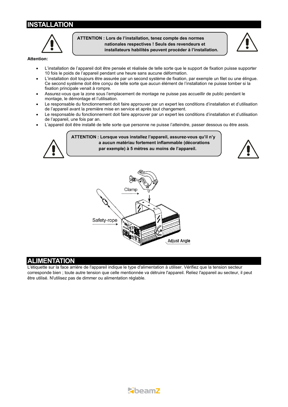## **INSTALLATION**

**ATTENTION : Lors de l'installation, tenez compte des normes nationales respectives ! Seuls des revendeurs et installateurs habilités peuvent procéder à l'installation.** 



#### **Attention:**

- L'installation de l'appareil doit être pensée et réalisée de telle sorte que le support de fixation puisse supporter 10 fois le poids de l'appareil pendant une heure sans aucune déformation.
- L'installation doit toujours être assurée par un second système de fixation, par exemple un filet ou une élingue. Ce second système doit être conçu de telle sorte que aucun élément de l'installation ne puisse tomber si la fixation principale venait à rompre.
- Assurez-vous que la zone sous l'emplacement de montage ne puisse pas accueillir de public pendant le montage, le démontage et l'utilisation.
- Le responsable du fonctionnement doit faire approuver par un expert les conditions d'installation et d'utilisation de l'appareil avant la première mise en service et après tout changement.
- Le responsable du fonctionnement doit faire approuver par un expert les conditions d'installation et d'utilisation de l'appareil, une fois par an.
- L'appareil doit être installé de telle sorte que personne ne puisse l'atteindre, passer dessous ou être assis.



**ATTENTION : Lorsque vous installez l'appareil, assurez-vous qu'il n'y a aucun matériau fortement inflammable (décorations par exemple) à 5 mètres au moins de l'appareil.** 





#### **ALIMENTATION**

L'étiquette sur la face arrière de l'appareil indique le type d'alimentation à utiliser. Vérifiez que la tension secteur corresponde bien ; toute autre tension que celle mentionnée va détruire l'appareil. Reliez l'appareil au secteur, il peut être utilisé. N'utilisez pas de dimmer ou alimentation réglable.

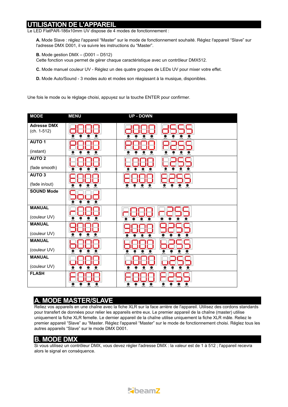## **UTILISATION DE L'APPAREIL**

Le LED FlatPAR-186x10mm UV dispose de 4 modes de fonctionnement :

**A.** Mode Slave : réglez l'appareil "Master" sur le mode de fonctionnement souhaité. Réglez l'appareil "Slave" sur l'adresse DMX D001, il va suivre les instructions du "Master".

**B.** Mode gestion DMX – (D001 – D512)

Cette fonction vous permet de gérer chaque caractéristique avec un contrôleur DMX512.

**C.** Mode manuel couleur UV - Réglez un des quatre groupes de LEDs UV pour mixer votre effet.

**D.** Mode Auto/Sound - 3 modes auto et modes son réagissant à la musique, disponibles.

Une fois le mode ou le réglage choisi, appuyez sur la touche ENTER pour confirmer.

| <b>MODE</b>                       | <b>MENU</b>                                 | <b>UP - DOWN</b>                                                                                              |
|-----------------------------------|---------------------------------------------|---------------------------------------------------------------------------------------------------------------|
| <b>Adresse DMX</b><br>(ch. 1-512) | ENTER                                       |                                                                                                               |
| <b>AUTO 1</b>                     |                                             |                                                                                                               |
| (instant)                         | ENTER<br>MENL<br>COWM                       | ENTER<br><b>DOWN</b><br>ENTER<br>COWA<br>MENU                                                                 |
| <b>AUTO 2</b><br>(fade smooth)    |                                             |                                                                                                               |
| <b>AUTO 3</b>                     |                                             | MEN.<br>DOM/                                                                                                  |
| (fade in/out)                     | <b>DOWN</b><br><b>DVTD</b>                  | ●<br>MENU<br><b>DOWN</b><br>MENU<br>ENTER<br>ENTER<br><b>DOWN</b><br>UP.<br><b>UP</b>                         |
| <b>SOUND Mode</b>                 | $\bullet$                                   |                                                                                                               |
| <b>MANUAL</b><br>(couleur UV)     |                                             |                                                                                                               |
| <b>MANUAL</b>                     | 00M<br>$i$ <sub>KTE</sub><br>MENI.          |                                                                                                               |
| (couleur UV)                      | DOW                                         |                                                                                                               |
| <b>MANUAL</b>                     |                                             |                                                                                                               |
| (couleur UV)                      | www.                                        | $\overline{0000}$<br><b>WENU</b><br><b>ENTER</b>                                                              |
| <b>MANUAL</b>                     |                                             |                                                                                                               |
| (couleur UV)                      |                                             |                                                                                                               |
| <b>FLASH</b>                      | $\sum_{n=m}$<br><b>ENTER</b><br><b>MENU</b> | $\bullet$<br>$\sum_{n\geq 0}$<br>$\sum_{n=1}^{\infty}$<br>$\frac{1}{2}$<br>$\bullet$<br>å<br>Ŧ<br><b>DOWN</b> |

## **A. MODE MASTER/SLAVE**

Reliez vos appareils en une chaîne avec la fiche XLR sur la face arrière de l'appareil. Utilisez des cordons standards pour transfert de données pour relier les appareils entre eux. Le premier appareil de la chaîne (master) utilise uniquement la fiche XLR femelle. Le dernier appareil de la chaîne utilise uniquement la fiche XLR mâle. Reliez le premier appareil "Slave" au "Master. Réglez l'appareil "Master" sur le mode de fonctionnement choisi. Réglez tous les autres appareils "Slave" sur le mode DMX D001.

#### **B. MODE DMX**

Si vous utilisez un contrôleur DMX, vous devez régler l'adresse DMX : la valeur est de 1 à 512 ; l'appareil recevra alors le signal en conséquence.

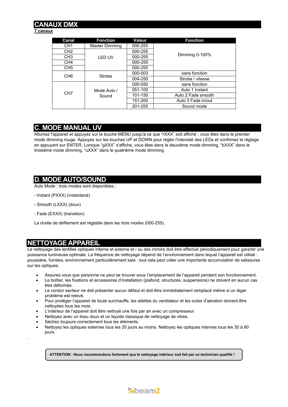## **DMX**

#### **7 canaux**

| Canal           | <b>Fonction</b>      | Valeur  | <b>Fonction</b>    |
|-----------------|----------------------|---------|--------------------|
| CH <sub>1</sub> | Master Dimming       | 000-255 |                    |
| CH <sub>2</sub> |                      | 000-255 |                    |
| CH <sub>3</sub> | <b>LED UV</b>        | 000-255 | Dimming 0-100%     |
| CH <sub>4</sub> |                      | 000-255 |                    |
| CH <sub>5</sub> |                      | 000-255 |                    |
| CH <sub>6</sub> | Strobe               | 000-003 | sans fonction      |
|                 |                      | 004-255 | Strobe / vitesse   |
| CH <sub>7</sub> | Mode Auto /<br>Sound | 000-050 | sans fonction      |
|                 |                      | 051-100 | Auto 1 Instant     |
|                 |                      | 101-150 | Auto 2 Fade smooth |
|                 |                      | 151-200 | Auto 3 Fade in/out |
|                 |                      | 201-255 | Sound mode         |

### **C. MODE MANUAL UV**

Allumez l'appareil et appuyez sur la touche MENU jusqu'à ce que "rXXX" soit affiché ; vous êtes dans le premier mode dimming rouge. Appuyez sur les touches UP et DOWN pour régler l'intensité des LEDs et confirmez le réglage en appuyant sur ENTER. Lorsque "gXXX" s'affiche, vous êtes dans le deuxième mode dimming, "bXXX" dans le troisième mode dimming, "uXXX" dans le quatrième mode dimming.

## **D. MODE AUTO/SOUND**

Auto Mode : trois modes sont disponibles :

- Instant (PXXX) (instantané)
- Smooth (LXXX) (doux)
- Fade (EXXX) (transition)

La durée de défilement est réglable dans les trois modes (000-255).

## **NETTOYAGE APPAREIL**

.

Le nettoyage des lentilles optiques interne et externe et / ou des miroirs doit être effectué périodiquement pour garantir une puissance lumineuse optimale. La fréquence de nettoyage dépend de l'environnement dans lequel l'appareil est utilisé : poussière, fumées, environnement particulièrement sale : tout cela peut créer une importante accumulation de salissures sur les optiques.

- Assurez-vous que personne ne peut se trouver sous l'emplacement de l'appareil pendant son fonctionnement.
- Le boîtier, les fixations et accessoires d'installation (plafond, structures, suspensions) ne doivent en aucun cas être déformés.
- Le cordon secteur ne doit présenter aucun défaut et doit être immédiatement remplacé même si un léger problème est relevé.
- Pour protéger l'appareil de toute surchauffe, les ailettes du ventilateur et les ouïes d'aération doivent être nettoyées tous les mois.
- L'intérieur de l'appareil doit être nettoyé une fois par an avec un compresseur.
- Nettoyez avec un tissu doux et un liquide classique de nettoyage de vitres.
- Séchez toujours correctement tous les éléments.
- Nettoyez les optiques externes tous les 20 jours au moins. Nettoyez les optiques internes tous les 30 à 60 jours.

**ATTENTION : Nous recommandons fortement que le nettoyage intérieur soit fait par un technicien qualifié !** 

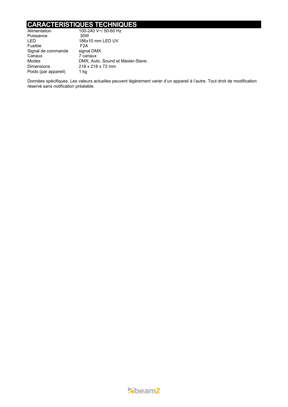## **CARACTERISTIQUES TECHNIQUES**

| Alimentation         | 100-240 V~/ 50-60 Hz              |  |
|----------------------|-----------------------------------|--|
| Puissance            | 30W                               |  |
| I FD                 | 186x10 mm LED UV                  |  |
| Fusible              | F2A                               |  |
| Signal de commande   | signal DMX                        |  |
| Canaux               | 7 canaux                          |  |
| Modes                | DMX, Auto, Sound et Master-Slave. |  |
| <b>Dimensions</b>    | 218 x 218 x 72 mm                 |  |
| Poids (par appareil) | 1 kg                              |  |

Données spécifiques. Les valeurs actuelles peuvent légèrement varier d'un appareil à l'autre. Tout droit de modification réservé sans notification préalable.

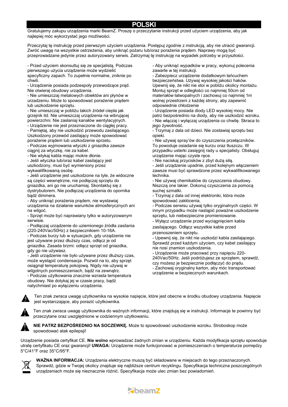## **POLSKI**

Gratulujemy zakupu urządzenia marki BeamZ. Proszę o przeczytanie instrukcji przed użyciem urządzenia, aby jak najlepiej móc wykorzystać jego możliwości.

Przeczytaj tę instrukcję przed pierwszym użyciem urządzenia. Postępuj zgodnie z instrukcją, aby nie utracić gwarancji. Zwróć uwagę na wszystkie ostrzeżenia, aby uniknąć pożaru lub/oraz porażenia prądem. Naprawy mogą być przeprowadzane jedynie przez autoryzowany serwis. Zatrzymaj tę instrukcję na wypadek potrzeby w przyszłości.

- Przed użyciem skonsultuj się ze specjalistą. Podczas pierwszego użycia urządzenie może wydzielić specyficzny zapach. To zupełnie normalne, zniknie po chwili.

- Urządzenie posiada podzespoły przewodzące prąd. Nie otwieraj obudowy urządzenia.

- Nie umieszczaj metalowych obiektów ani płynów w urzadzeniu. Może to spowodować porażenie prądem lub uszkodzenie sprzętu.

- Nie umieszczaj w pobliżu takich źródeł ciepła jak grzejnik itd. Nie umieszczaj urządzenia na wibrującej powierzchni. Nie zasłaniaj kanałów wentylacyjnych.

- Urządzenie nie jest przeznaczone do ciągłej pracy. - Pamiętaj, aby nie uszkodzić przewodu zasilającego. Uszkodzony przewód zasilający może spowodować porażenie prądem lub uszkodzenie sprzetu.

- Podczas wyjmowania wtyczki z gniazdka zawsze ciągnij za wtyczkę, nie za kabel.

- Nie wtykaj kabla mając mokre dłonie.

- Jeśli wtyczka lub/oraz kabel zasilający jest uszkodzony, musi być wymieniony przez wykwalifikowaną osobę.

- Jeśli urządzenie jest uszkodzone na tyle, że widoczne są części wewnętrzne, nie podłączaj sprzętu do gniazdka, ani go nie uruchamiaj. Skontaktuj się z dystrybutorem. Nie podłączaj urządzenia do opornika bądź dimmera.

- Aby uniknąć porażenia prądem, nie wystawiaj urządzenia na działanie warunków atmosferycznych ani na wilgoć.

- Sprzęt może być naprawiany tylko w autoryzowanym serwisie.

- Podłączaj urządzenie do uziemionego źródła zasilania (220-240Vac/50Hz) z bezpiecznikiem 10-16A.

- Podczas burzy lub w sytuacjach, gdy urządzenie nie jest używane przez dłuższy czas, odłącz je od gniazdka. Zasada brzmi: odłącz sprzęt od gniazdka, gdy go nie używasz.

- Jeśli urządzenie nie było używane przez dłuższy czas, może wystąpić condensacja. Pozwól na to, aby sprzęt osiągnął temperaturę pokojową. Nigdy nie używaj w wilgotnych pomieszczeniach, bądź na zewnątrz.

- Podczas użytkowania znacznie wzrasta temperatura obudowy. Nie dotykaj jej w czasie pracy, bądź natychmiast po wyłączeniu urządzenia.

- Aby uniknąć wypadków w pracy, wykonuj polecenia zawarte w tej instrukcji.

- Zabezpiecz urządzenie dodatkowym łańcuchem bezpieczeństwa. Używaj wysokiej jakości haków. Upewnij się, że nikt nie stoi w pobliżu okolicy montażu. Montuj sprzęt w odległości co najmniej 50cm od materiałów łatwopalnych i zachowuj co najmniej 1m wolnej przestrzeni z każdej strony, aby zapewnić odpowiednie chłodzenie

- Urządzenie posiada diody LED wysokiej mocy. Nie patrz bezpośrednio na diody, aby nie uszkodzić wzroku. - Nie włączaj i wyłączaj urządzenia co chwilę. Skraca to jego żywotność.

- Trzymaj z dala od dzieci. Nie zostawiaj sprzętu bez opieki.

- Nie używaj spray'ów do czyszczenia przełączników. To powoduje osiadanie się kurzu oraz tłuszczu. W przypadku usterki zasięgnij rady u specjalisty. Obsługuj urządzenie mając czyste ręce.

- Nie naciskaj przycisków z zbyt dużą siłą.

- Jeśli urządzenie upadnie, przed kolejnym włączeniem zawsze musi być sprawdzone przez wykwalifikowanego technika.

- Nie używaj chemikaliów do czyszczenia obudowy. Niszczą one lakier. Dokonuj czyszczenia za pomocą suchej szmatki.

- Trzymaj z dala od innej elektroniki, która może spowodować zakłócenia.

- Podczas serwisu używaj tylko oryginalnych części. W innym przypadku może nastąpić poważne uszkodzenie sprzętu, lub niebezpieczne promieniowanie.

- Wyłącz urządzenie przed wyciągnięciem kabla zasilającego. Odłącz wszystkie kable przed

przenoszeniem sprzętu.

- Upewnij się, że nikt nie uszkodzi kabla zasilającego. Sprawdź przed każdym użyciem, czy kabel zasilający nie nosi znamion uszkodzenia.

- Urządzenie może pracować przy napięciu 220- 240Vac/50Hz. Jeśli podróżujesz ze sprzętem, sprawdź, czy możesz je bezpiecznie podłączyć do prądu.

- Zachowaj oryginalny karton, aby móc transportować urządzenie w bezpiecznych warunkach.



Ten znak zwraca uwagę użytkownika na wysokie napięcie, które jest obecne w środku obudowy urządzenia. Napięcie jest wystarczające, aby porazić użytkownika.



Ten znak zwraca uwagę użytkownika do ważnych informacji, które znajdują się w instrukcji. Informacje te powinny być przeczytane oraz uwzględnione w codziennym użytkowaniu.



**NIE PATRZ BEZPOŚREDNIO NA SOCZEWKĘ.** Może to spowodować uszkodzenie wzroku. Stroboskop może spowodować atak epilepsji!

Urządzenie posiada certyfikat CE. **Nie wolno** wprowadzać żadnych zmian w urządzeniu. Każda modyfikacja sprzętu spowoduje utratę certyfikatu CE oraz gwarancji! **UWAGA:** Urządzenie może funkcjonować w pomieszczeniach o temperaturze pomiędzy 5°C/41°F oraz 35°C/95°F.



**WAŻNA INFORMACJA:** Urządzenia elektryczne muszą być składowane w miejscach do tego przeznaczonych. Sprawdź, gdzie w Twojej okolicy znajduje się najbliższe centrum recyklingu. Specyfikacja techniczna poszczególnych urządzeniach może się nieznacznie różnić. Specyfikacja może ulec zmian bez powiadomień.

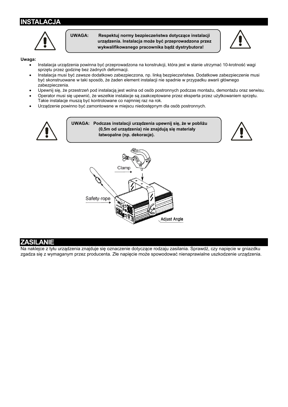## **INSTALACJA**



**UWAGA: Respektuj normy bezpieczeństwa dotyczące instalacji urządzenia. Instalacja może być przeprowadzona przez wykwalifikowanego pracownika bądź dystrybutora!** 



#### **Uwaga:**

- Instalacja urządzenia powinna być przeprowadzona na konstrukcji, która jest w stanie utrzymać 10-krotność wagi sprzętu przez godzinę bez żadnych deformacji.
- Instalacja musi być zawsze dodatkowo zabezpieczona, np. linką bezpieczeństwa. Dodatkowe zabezpieczenie musi być skonstruowane w taki sposób, że żaden element instalacji nie spadnie w przypadku awarii głównego zabezpieczenia.
- Upewnij się, że przestrzeń pod instalacją jest wolna od osób postronnych podczas montażu, demontażu oraz serwisu.
- Operator musi się upewnić, że wszelkie instalacje są zaakceptowane przez eksperta przez użytkowaniem sprzętu. Takie instalacje muszą być kontrolowane co najmniej raz na rok.
- Urządzenie powinno być zamontowane w miejscu niedostępnym dla osób postronnych.



#### **ZASILANIE**

Na naklejce z tyłu urządzenia znajduje się oznaczenie dotyczące rodzaju zasilania. Sprawdź, czy napięcie w gniazdku zgadza się z wymaganym przez producenta. Złe napięcie może spowodować nienaprawialne uszkodzenie urządzenia.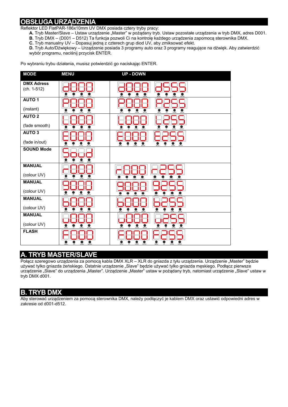## **OBSŁUGA URZĄDZENIA**

Reflektor LED FlatPAR-186x10mm UV DMX posiada cztery tryby pracy:

A. Tryb Master/Slave – Ustaw urządzenie "Master" w pożądany tryb. Ustaw pozostałe urządzenia w tryb DMX, adres D001.

- **B.** Tryb DMX (D001 D512) Ta funkcja pozwoli Ci na kontrolę każdego urządzenia zapomocą sterownika DMX.
- **C.** Tryb manualny UV Dopasuj jedną z czterech grup diod UV, aby zmiksować efekt.

**D.** Tryb Auto/Dźwiękowy – Urządzenie posiada 3 programy auto oraz 3 programy reagujące na dźwięk. Aby zatwierdzić wybór programu, naciśnij przycisk ENTER.

Po wybraniu trybu działania, musisz potwierdzić go naciskając ENTER.

| <b>MODE</b>                        | <b>MENU</b>                               | <b>UP - DOWN</b>                                                                         |
|------------------------------------|-------------------------------------------|------------------------------------------------------------------------------------------|
| <b>DMX Adress</b><br>$(ch. 1-512)$ |                                           |                                                                                          |
| <b>AUTO 1</b>                      |                                           |                                                                                          |
| (instant)                          |                                           |                                                                                          |
| <b>AUTO 2</b>                      |                                           |                                                                                          |
| (fade smooth)                      | <b>MENA</b>                               | ENTER<br>DOWN                                                                            |
| AUTO <sub>3</sub>                  |                                           |                                                                                          |
| (fade in/out)                      |                                           | ENTER<br>ENTER<br>DOWN<br>MENU<br><b>DOMN</b>                                            |
| <b>SOUND Mode</b>                  |                                           |                                                                                          |
| <b>MANUAL</b>                      |                                           |                                                                                          |
| (colour UV)                        | MENI<br>DOM                               |                                                                                          |
| <b>MANUAL</b>                      |                                           |                                                                                          |
| (colour UV)                        | ENTER<br><b>MEN</b><br>DOWN               |                                                                                          |
| <b>MANUAL</b>                      |                                           |                                                                                          |
| (colour UV)                        |                                           |                                                                                          |
| <b>MANUAL</b>                      |                                           |                                                                                          |
| (colour UV)                        |                                           | ENTER                                                                                    |
| <b>FLASH</b>                       | MDA<br><b>DOWN</b><br>D(III)<br><b>UP</b> | $\bullet$<br>$\bullet$<br>$\sum_{i=1}^{\infty}$<br>MON<br>उ<br><b>DYTER</b><br>WING<br>⊽ |

## **A. TRYB MASTER/SLAVE**

Połącz szeregowo urządzenia za pomocą kabla DMX XLR – XLR do gniazda z tyłu urządzenia. Urządzenie "Master" będzie używać tylko gniazda żeńskiego. Ostatnie urządzenie "Slave" będzie używać tylko gniazda męskiego. Podłącz pierwsze urządzenie "Slave" do urządzenia "Master". Urządzenie "Master" ustaw w pożądany tryb, natomiast urządzenie "Slave" ustaw w tryb DMX d001.

## **B. TRYB DMX**

Aby sterować urządzeniem za pomocą sterownika DMX, należy podłączyć je kablem DMX oraz ustawić odpowiedni adres w zakresie od d001-d512.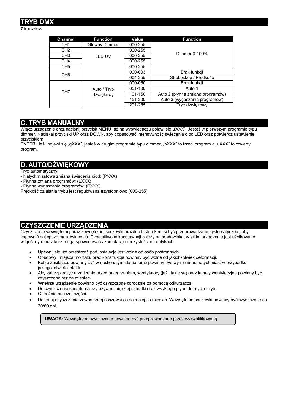## **TRYB DMX**

#### **7** kanałów

| <b>Channel</b>  | <b>Function</b>          | Value   | <b>Function</b>                  |
|-----------------|--------------------------|---------|----------------------------------|
| CH <sub>1</sub> | Główny Dimmer            | 000-255 |                                  |
| CH <sub>2</sub> |                          | 000-255 |                                  |
| CH <sub>3</sub> | <b>LED UV</b>            | 000-255 | Dimmer 0-100%                    |
| CH <sub>4</sub> |                          | 000-255 |                                  |
| CH <sub>5</sub> |                          | 000-255 |                                  |
| CH <sub>6</sub> |                          | 000-003 | Brak funkcji                     |
|                 |                          | 004-255 | Stroboskop / Prędkość            |
| CH <sub>7</sub> | Auto / Tryb<br>dźwiękowy | 000-050 | Brak funkcji                     |
|                 |                          | 051-100 | Auto 1                           |
|                 |                          | 101-150 | Auto 2 (płynna zmiana programów) |
|                 |                          | 151-200 | Auto 3 (wygaszanie programów)    |
|                 |                          | 201-255 | Tryb dźwiękowy                   |

## **C. TRYB MANUALNY**

Włącz urządzenie oraz naciśnij przycisk MENU, aż na wyświetlaczu pojawi się "rXXX". Jesteś w pierwszym programie typu dimmer. Naciskaj przyciski UP oraz DOWN, aby dopasować intensywność świecenia diod LED oraz potwierdź ustawienie przyciskiem

ENTER. Jeśli pojawi się "gXXX", jesteś w drugim programie typu dimmer, "bXXX" to trzeci program a "uXXX" to czwarty program.

## **D. AUTO/DŹWIĘKOWY**

Tryb automatyczny:

- Natychmiastowa zmiana świecenia diod: (PXXX)
- Płynna zmiana programów: (LXXX)
- Płynne wygaszanie programów: (EXXX)

Prędkość działania trybu jest regulowana trzystopniowo (000-255)

## **CZYSZCZENIE URZĄDZENIA**

Czyszczenie wewnętrznej oraz zewnętrznej soczewki oraz/lub lusterek musi być przeprowadzane systematycznie, aby zapewnić najlepszą moc świecenia. Częstotliwość konserwacji zależy od środowiska, w jakim urządzenie jest użytkowane: wilgoć, dym oraz kurz mogą spowodować akumulację nieczystości na optykach.

- Upewnij się, że przestrzeń pod instalacją jest wolna od osób postronnych.
- Obudowy, miejsca montażu oraz konstrukcje powinny być wolne od jakichkolwiek deformacji.
- Kable zasilające powinny być w doskonałym stanie oraz powinny być wymienione natychmiast w przypadku jakiegokolwiek defektu.
- Aby zabezpieczyć urządzenie przed przegrzaniem, wentylatory (jeśli takie są) oraz kanały wentylacyjne powinny być czyszczone raz na miesiąc.
- Wnętrze urządzenie powinno być czyszczone corocznie za pomocą odkurzacza.
- Do czyszczenia sprzętu należy używać miękkiej szmatki oraz zwykłego płynu do mycia szyb.
- Ostrożnie osuszaj części.
- Dokonuj czyszczenia zewnętrznej soczewki co najmniej co miesiąc. Wewnętrzne soczewki powinny być czyszczone co 30/60 dni.

**UWAGA:** Wewnętrzne czyszczenie powinno być przeprowadzane przez wykwalifikowaną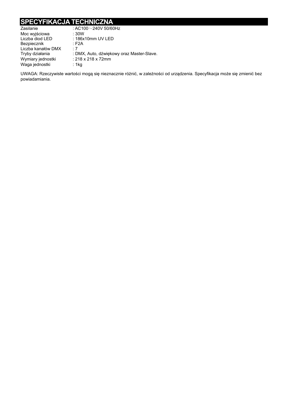## **SPECYFIKACJA TECHNICZNA**

| : AC100 $\sim$ 240V 50/60Hz               |
|-------------------------------------------|
| :30W                                      |
| : 186x10mm UV LED                         |
| : F2A                                     |
| $\cdot$ 7                                 |
| : DMX, Auto, dźwiękowy oraz Master-Slave. |
| : 218 x 218 x 72mm                        |
| : 1 $kg$                                  |
|                                           |

UWAGA: Rzeczywiste wartości mogą się nieznacznie różnić, w zależności od urządzenia. Specyfikacja może się zmienić bez powiadamiania.